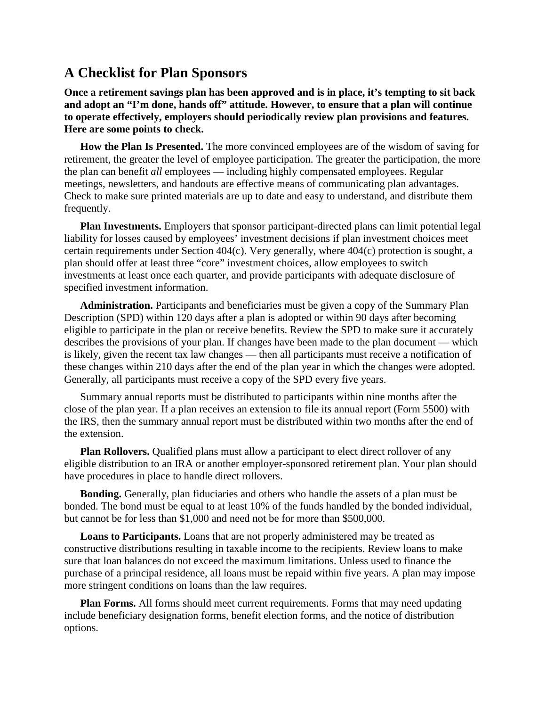## **A Checklist for Plan Sponsors**

**Once a retirement savings plan has been approved and is in place, it's tempting to sit back and adopt an "I'm done, hands off" attitude. However, to ensure that a plan will continue to operate effectively, employers should periodically review plan provisions and features. Here are some points to check.**

**How the Plan Is Presented.** The more convinced employees are of the wisdom of saving for retirement, the greater the level of employee participation. The greater the participation, the more the plan can benefit *all* employees — including highly compensated employees. Regular meetings, newsletters, and handouts are effective means of communicating plan advantages. Check to make sure printed materials are up to date and easy to understand, and distribute them frequently.

**Plan Investments.** Employers that sponsor participant-directed plans can limit potential legal liability for losses caused by employees' investment decisions if plan investment choices meet certain requirements under Section 404(c). Very generally, where 404(c) protection is sought, a plan should offer at least three "core" investment choices, allow employees to switch investments at least once each quarter, and provide participants with adequate disclosure of specified investment information.

**Administration.** Participants and beneficiaries must be given a copy of the Summary Plan Description (SPD) within 120 days after a plan is adopted or within 90 days after becoming eligible to participate in the plan or receive benefits. Review the SPD to make sure it accurately describes the provisions of your plan. If changes have been made to the plan document — which is likely, given the recent tax law changes — then all participants must receive a notification of these changes within 210 days after the end of the plan year in which the changes were adopted. Generally, all participants must receive a copy of the SPD every five years.

Summary annual reports must be distributed to participants within nine months after the close of the plan year. If a plan receives an extension to file its annual report (Form 5500) with the IRS, then the summary annual report must be distributed within two months after the end of the extension.

**Plan Rollovers.** Qualified plans must allow a participant to elect direct rollover of any eligible distribution to an IRA or another employer-sponsored retirement plan. Your plan should have procedures in place to handle direct rollovers.

**Bonding.** Generally, plan fiduciaries and others who handle the assets of a plan must be bonded. The bond must be equal to at least 10% of the funds handled by the bonded individual, but cannot be for less than \$1,000 and need not be for more than \$500,000.

**Loans to Participants.** Loans that are not properly administered may be treated as constructive distributions resulting in taxable income to the recipients. Review loans to make sure that loan balances do not exceed the maximum limitations. Unless used to finance the purchase of a principal residence, all loans must be repaid within five years. A plan may impose more stringent conditions on loans than the law requires.

**Plan Forms.** All forms should meet current requirements. Forms that may need updating include beneficiary designation forms, benefit election forms, and the notice of distribution options.